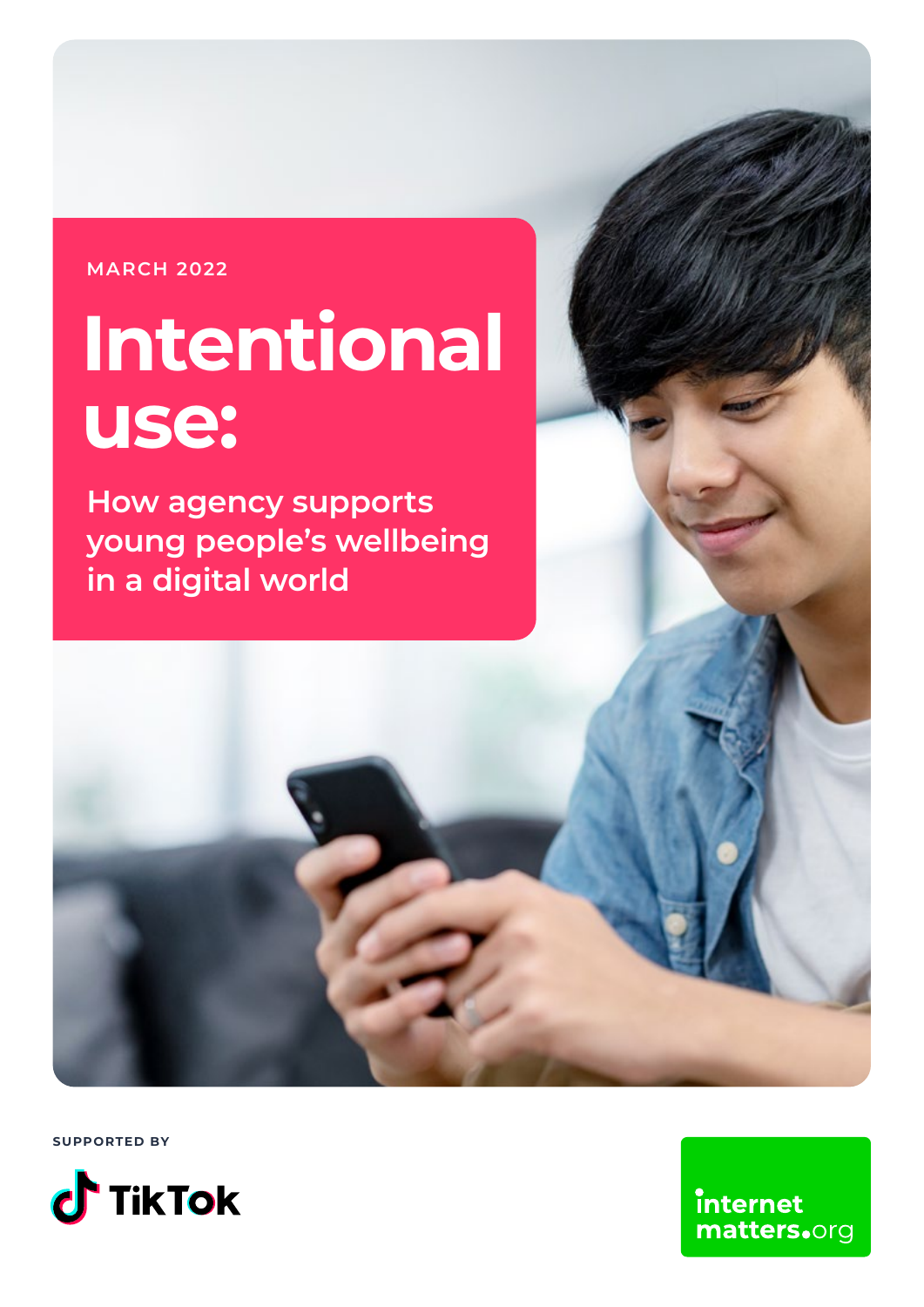#### **MARCH 2022**

# **Intentional use:**

**How agency supports young people's wellbeing in a digital world**

**SUPPORTED BY**



internet matters.org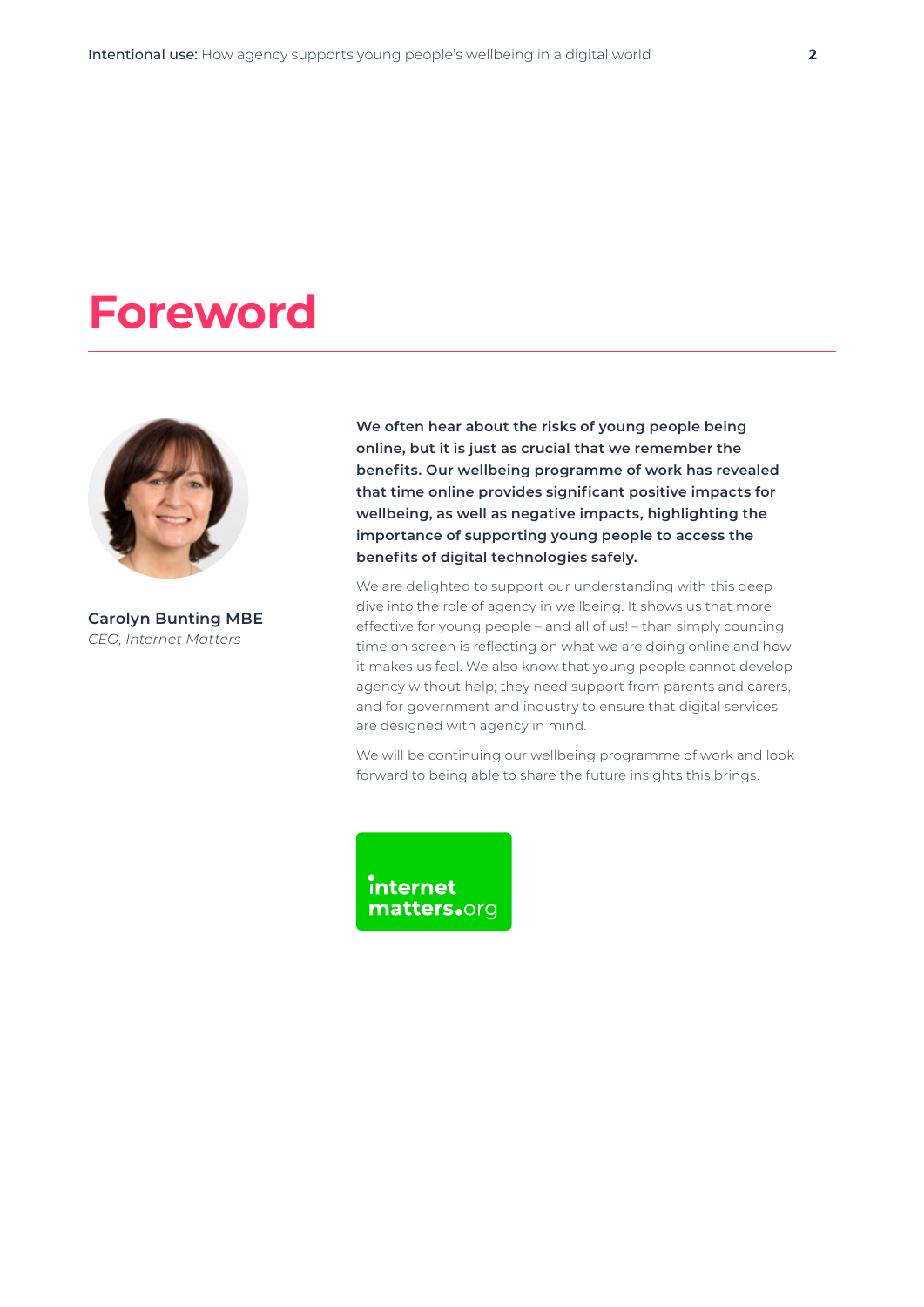### **Foreword**



**Carolyn Bunting MBE** *CEO, Internet Matters*

**We often hear about the risks of young people being online, but it is just as crucial that we remember the benefits. Our wellbeing programme of work has revealed that time online provides significant positive impacts for wellbeing, as well as negative impacts, highlighting the importance of supporting young people to access the benefits of digital technologies safely.** 

We are delighted to support our understanding with this deep dive into the role of agency in wellbeing. It shows us that more effective for young people – and all of us! – than simply counting time on screen is reflecting on what we are doing online and how it makes us feel. We also know that young people cannot develop agency without help; they need support from parents and carers, and for government and industry to ensure that digital services are designed with agency in mind.

We will be continuing our wellbeing programme of work and look forward to being able to share the future insights this brings.

**internet** matters.org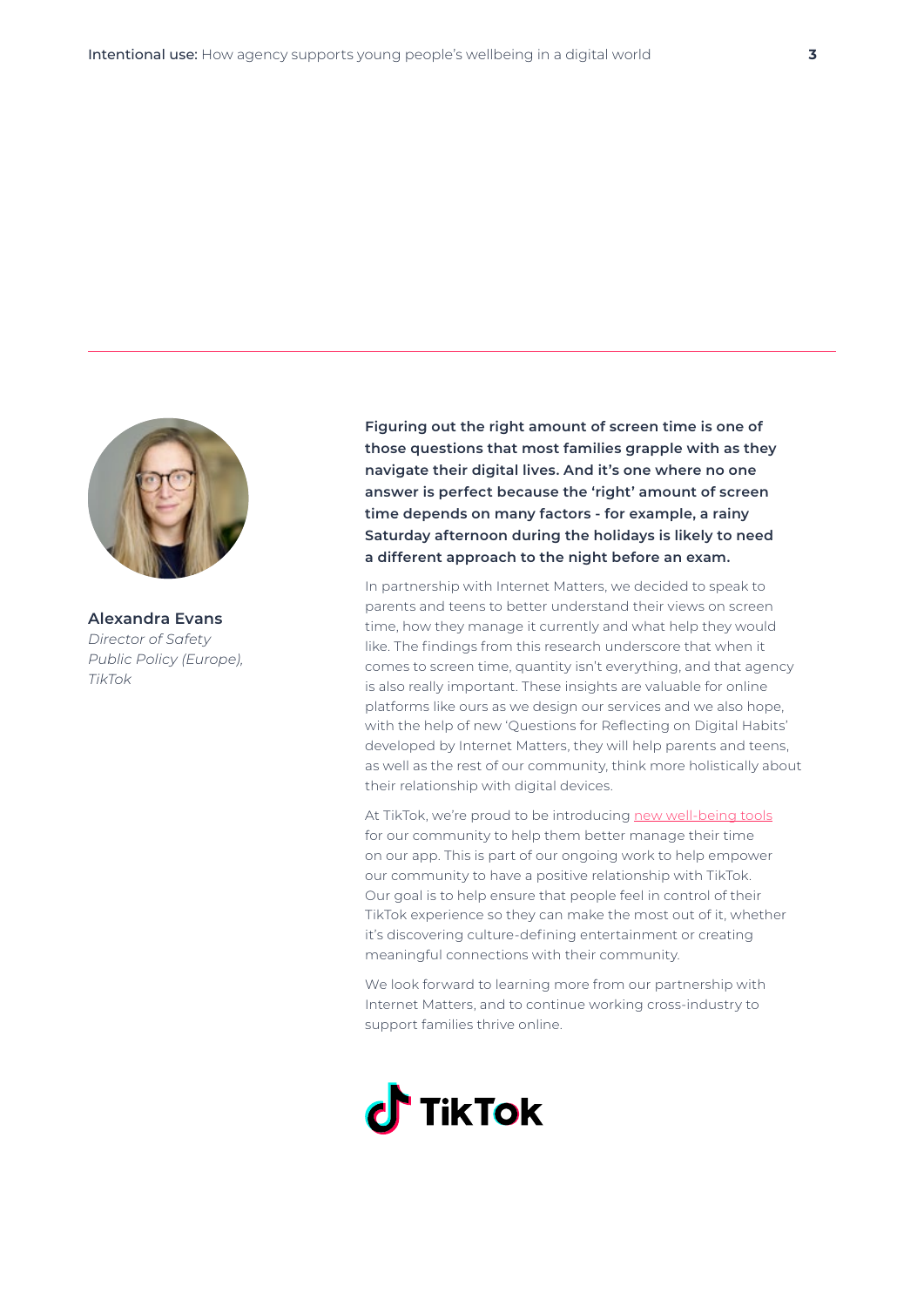

**Alexandra Evans** *Director of Safety Public Policy (Europe), TikTok*

**Figuring out the right amount of screen time is one of those questions that most families grapple with as they navigate their digital lives. And it's one where no one answer is perfect because the 'right' amount of screen time depends on many factors - for example, a rainy Saturday afternoon during the holidays is likely to need a different approach to the night before an exam.** 

In partnership with Internet Matters, we decided to speak to parents and teens to better understand their views on screen time, how they manage it currently and what help they would like. The findings from this research underscore that when it comes to screen time, quantity isn't everything, and that agency is also really important. These insights are valuable for online platforms like ours as we design our services and we also hope, with the help of new 'Questions for Reflecting on Digital Habits' developed by Internet Matters, they will help parents and teens, as well as the rest of our community, think more holistically about their relationship with digital devices.

At TikTok, we're proud to be introducing [new well-being tools](https://www.tiktok.com/safety/en/well-being/) for our community to help them better manage their time on our app. This is part of our ongoing work to help empower our community to have a positive relationship with TikTok. Our goal is to help ensure that people feel in control of their TikTok experience so they can make the most out of it, whether it's discovering culture-defining entertainment or creating meaningful connections with their community.

We look forward to learning more from our partnership with Internet Matters, and to continue working cross-industry to support families thrive online.

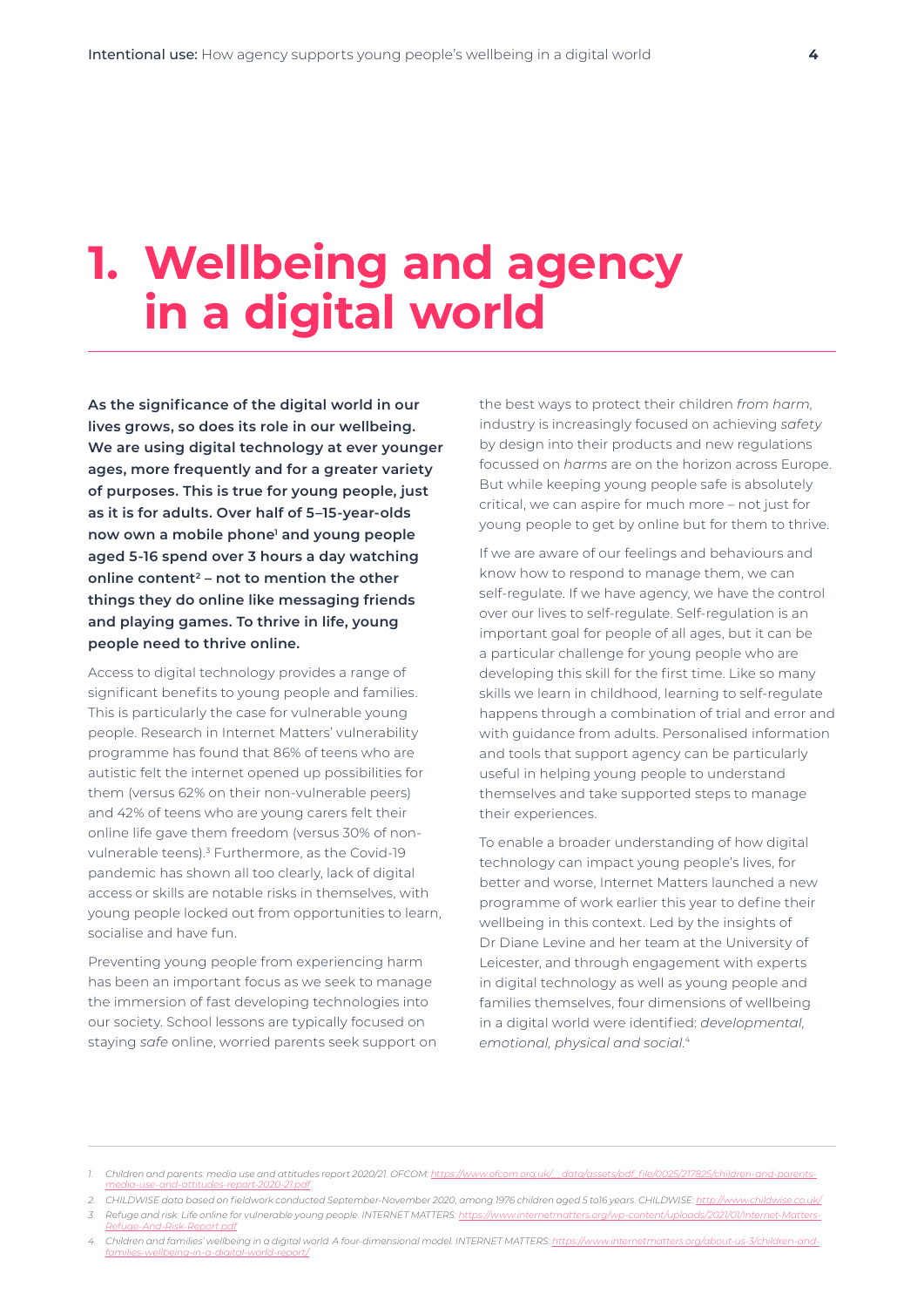### **1. Wellbeing and agency in a digital world**

**As the significance of the digital world in our lives grows, so does its role in our wellbeing. We are using digital technology at ever younger ages, more frequently and for a greater variety of purposes. This is true for young people, just as it is for adults. Over half of 5–15-year-olds now own a mobile phone1 and young people aged 5-16 spend over 3 hours a day watching online content2 – not to mention the other things they do online like messaging friends and playing games. To thrive in life, young people need to thrive online.** 

Access to digital technology provides a range of significant benefits to young people and families. This is particularly the case for vulnerable young people. Research in Internet Matters' vulnerability programme has found that 86% of teens who are autistic felt the internet opened up possibilities for them (versus 62% on their non-vulnerable peers) and 42% of teens who are young carers felt their online life gave them freedom (versus 30% of nonvulnerable teens).<sup>3</sup> Furthermore, as the Covid-19 pandemic has shown all too clearly, lack of digital access or skills are notable risks in themselves, with young people locked out from opportunities to learn, socialise and have fun.

Preventing young people from experiencing harm has been an important focus as we seek to manage the immersion of fast developing technologies into our society. School lessons are typically focused on staying *safe* online, worried parents seek support on

the best ways to protect their children *from harm*, industry is increasingly focused on achieving *safety* by design into their products and new regulations focussed on *harms* are on the horizon across Europe. But while keeping young people safe is absolutely critical, we can aspire for much more – not just for young people to get by online but for them to thrive.

If we are aware of our feelings and behaviours and know how to respond to manage them, we can self-regulate. If we have agency, we have the control over our lives to self-regulate. Self-regulation is an important goal for people of all ages, but it can be a particular challenge for young people who are developing this skill for the first time. Like so many skills we learn in childhood, learning to self-regulate happens through a combination of trial and error and with guidance from adults. Personalised information and tools that support agency can be particularly useful in helping young people to understand themselves and take supported steps to manage their experiences.

To enable a broader understanding of how digital technology can impact young people's lives, for better and worse, Internet Matters launched a new programme of work earlier this year to define their wellbeing in this context. Led by the insights of Dr Diane Levine and her team at the University of Leicester, and through engagement with experts in digital technology as well as young people and families themselves, four dimensions of wellbeing in a digital world were identified: *developmental, emotional, physical and social*. 4

<sup>1.</sup> Children and parents: media use and attitudes report 2020/21. OFCOM: https://www.ofcon *[media-use-and-attitudes-report-2020-21.pdf](https://www.ofcom.org.uk/__data/assets/pdf_file/0025/217825/children-and-parents-media-use-and-attitudes-report-2020-21.pdf)*

<sup>2.</sup> CHILDWISE data based on fieldwork conducted September-November 2020, among 1976 children aged 5 to16 years. CHILDWISE: <http://www.childwise.co.uk/>

<sup>3.</sup> Refuge and risk: Life online for vulnerable young people. INTERNET MATTERS: [https://www.internetmatters.org/wp-content/uploads/2021/01/Internet-Matters-](https://www.internetmatters.org/wp-content/uploads/2021/01/Internet-Matters-Refuge-And-Risk-Report.pdf)*[Refuge-And-Risk-Report.pdf](https://www.internetmatters.org/wp-content/uploads/2021/01/Internet-Matters-Refuge-And-Risk-Report.pdf)*

<sup>4.</sup> Children and families' wellbeing in a digital world: A four-dimensional model. INTERNET MATTERS: https://www.ir *[families-wellbeing-in-a-digital-world-report/](https://www.internetmatters.org/about-us-3/children-and-families-wellbeing-in-a-digital-world-report/)*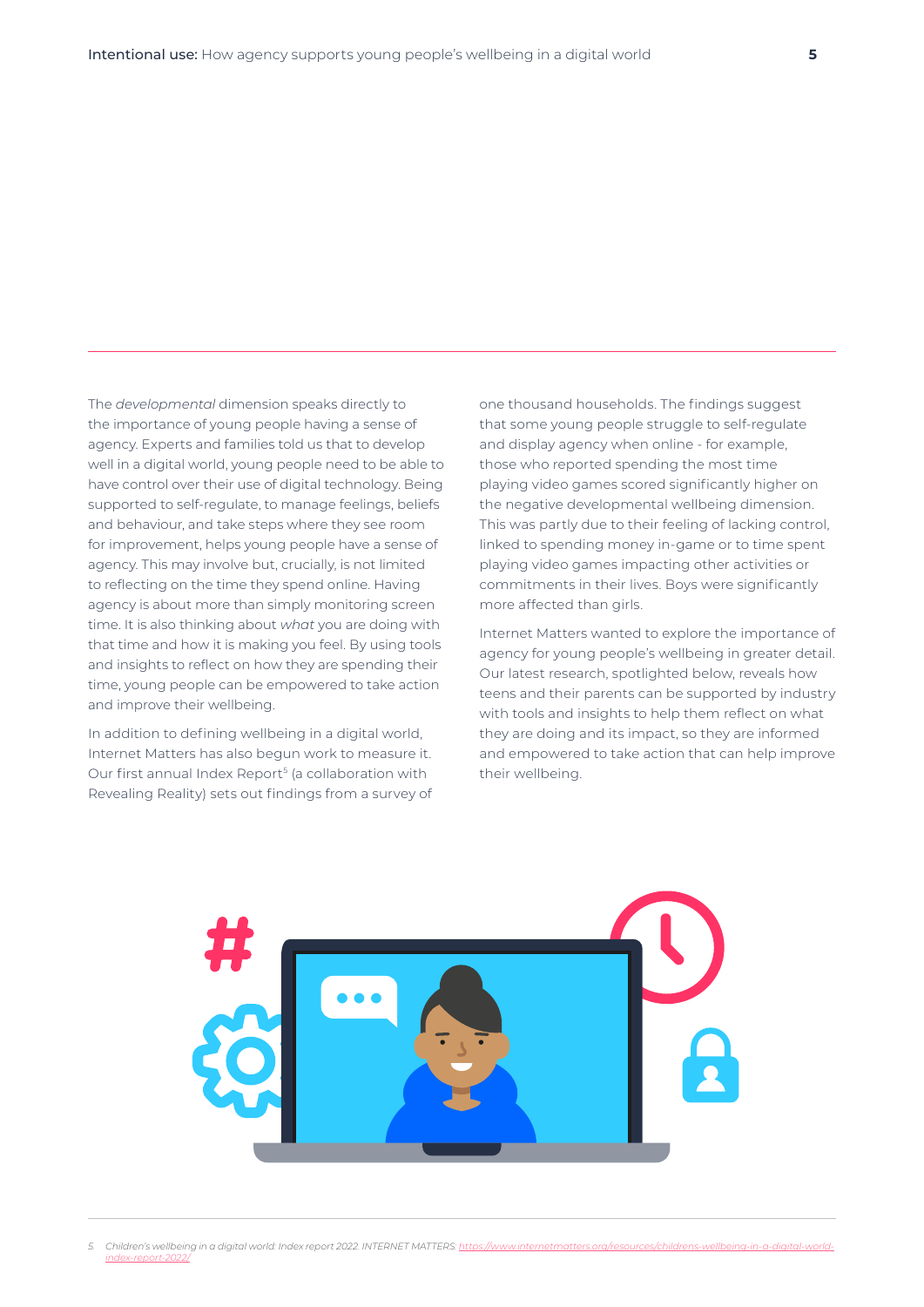The *developmental* dimension speaks directly to the importance of young people having a sense of agency. Experts and families told us that to develop well in a digital world, young people need to be able to have control over their use of digital technology. Being supported to self-regulate, to manage feelings, beliefs and behaviour, and take steps where they see room for improvement, helps young people have a sense of agency. This may involve but, crucially, is not limited to reflecting on the time they spend online. Having agency is about more than simply monitoring screen time. It is also thinking about *what* you are doing with that time and how it is making you feel. By using tools and insights to reflect on how they are spending their time, young people can be empowered to take action and improve their wellbeing.

In addition to defining wellbeing in a digital world, Internet Matters has also begun work to measure it. Our first annual Index Report<sup>5</sup> (a collaboration with Revealing Reality) sets out findings from a survey of one thousand households. The findings suggest that some young people struggle to self-regulate and display agency when online - for example, those who reported spending the most time playing video games scored significantly higher on the negative developmental wellbeing dimension. This was partly due to their feeling of lacking control, linked to spending money in-game or to time spent playing video games impacting other activities or commitments in their lives. Boys were significantly more affected than girls.

Internet Matters wanted to explore the importance of agency for young people's wellbeing in greater detail. Our latest research, spotlighted below, reveals how teens and their parents can be supported by industry with tools and insights to help them reflect on what they are doing and its impact, so they are informed and empowered to take action that can help improve their wellbeing.



Children's wellbeing in a digital world: Index report 2022. INTERNET MATTERS: [https://www.internetmatters.org/resources/childrens-wellbeing-in-a-digital-world](https://www.internetmatters.org/resources/childrens-wellbeing-in-a-digital-world-index-report-2022/)*[index-report-2022/](https://www.internetmatters.org/resources/childrens-wellbeing-in-a-digital-world-index-report-2022/)*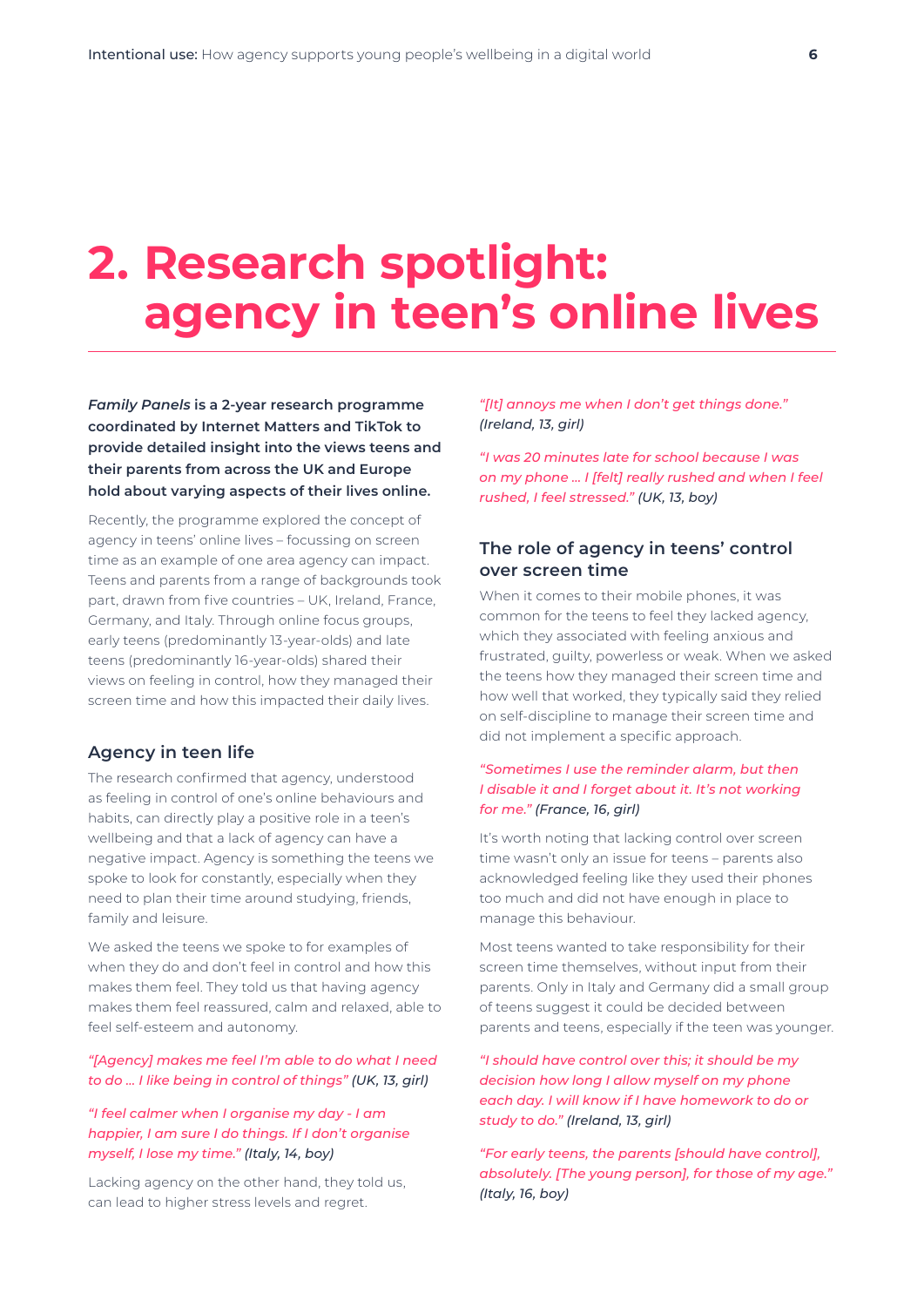### **2. Research spotlight: agency in teen's online lives**

*Family Panels* **is a 2-year research programme coordinated by Internet Matters and TikTok to provide detailed insight into the views teens and their parents from across the UK and Europe hold about varying aspects of their lives online.**

Recently, the programme explored the concept of agency in teens' online lives – focussing on screen time as an example of one area agency can impact. Teens and parents from a range of backgrounds took part, drawn from five countries – UK, Ireland, France, Germany, and Italy. Through online focus groups, early teens (predominantly 13-year-olds) and late teens (predominantly 16-year-olds) shared their views on feeling in control, how they managed their screen time and how this impacted their daily lives.

#### **Agency in teen life**

The research confirmed that agency, understood as feeling in control of one's online behaviours and habits, can directly play a positive role in a teen's wellbeing and that a lack of agency can have a negative impact. Agency is something the teens we spoke to look for constantly, especially when they need to plan their time around studying, friends, family and leisure.

We asked the teens we spoke to for examples of when they do and don't feel in control and how this makes them feel. They told us that having agency makes them feel reassured, calm and relaxed, able to feel self-esteem and autonomy.

#### *"[Agency] makes me feel I'm able to do what I need to do … I like being in control of things" (UK, 13, girl)*

#### *"I feel calmer when I organise my day - I am happier, I am sure I do things. If I don't organise myself, I lose my time." (Italy, 14, boy)*

Lacking agency on the other hand, they told us, can lead to higher stress levels and regret.

*"[It] annoys me when I don't get things done." (Ireland, 13, girl)*

*"I was 20 minutes late for school because I was on my phone … I [felt] really rushed and when I feel rushed, I feel stressed." (UK, 13, boy)*

#### **The role of agency in teens' control over screen time**

When it comes to their mobile phones, it was common for the teens to feel they lacked agency, which they associated with feeling anxious and frustrated, guilty, powerless or weak. When we asked the teens how they managed their screen time and how well that worked, they typically said they relied on self-discipline to manage their screen time and did not implement a specific approach.

#### *"Sometimes I use the reminder alarm, but then I disable it and I forget about it. It's not working for me." (France, 16, girl)*

It's worth noting that lacking control over screen time wasn't only an issue for teens – parents also acknowledged feeling like they used their phones too much and did not have enough in place to manage this behaviour.

Most teens wanted to take responsibility for their screen time themselves, without input from their parents. Only in Italy and Germany did a small group of teens suggest it could be decided between parents and teens, especially if the teen was younger.

*"I should have control over this; it should be my decision how long I allow myself on my phone each day. I will know if I have homework to do or study to do." (Ireland, 13, girl)*

*"For early teens, the parents [should have control], absolutely. [The young person], for those of my age." (Italy, 16, boy)*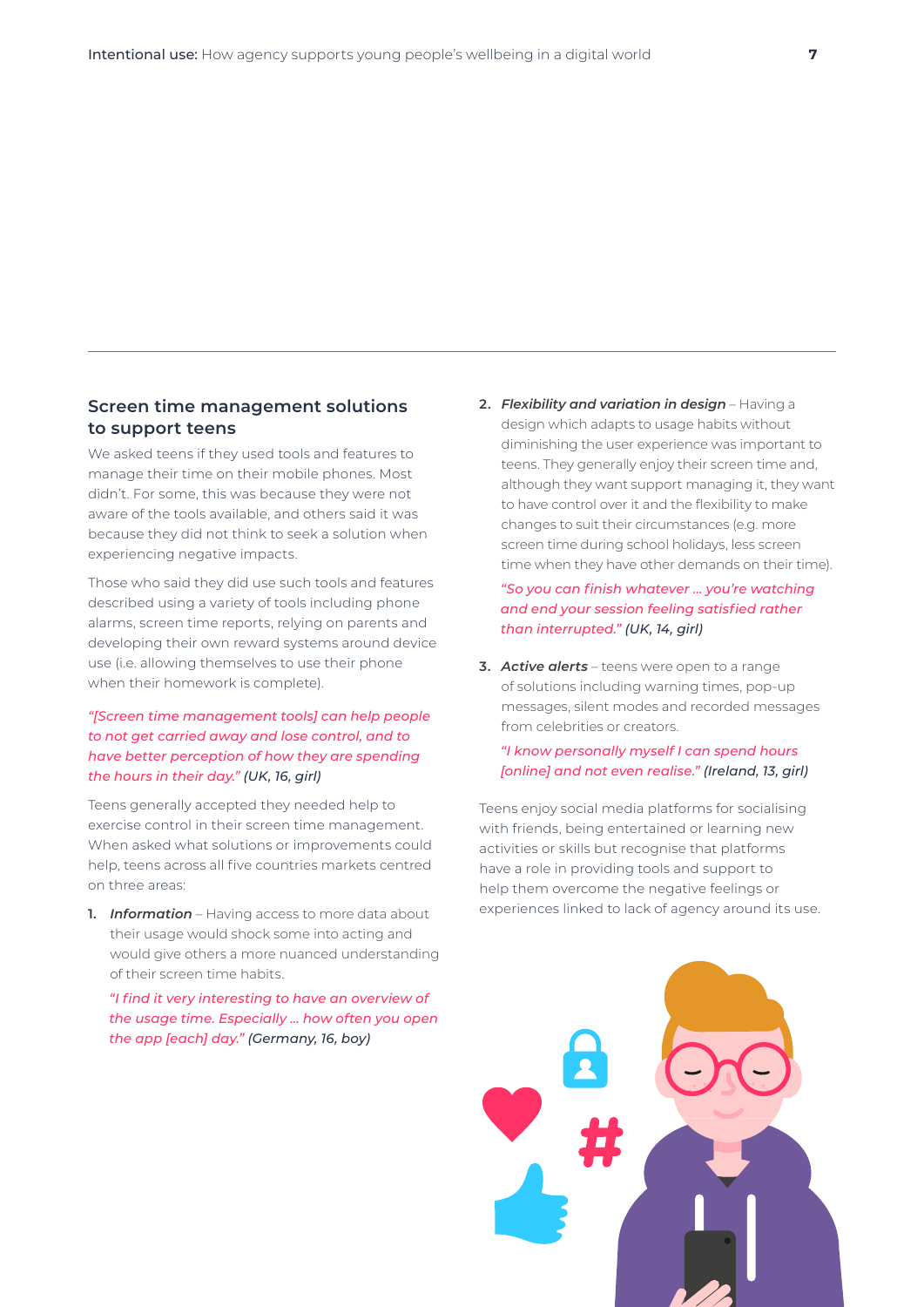#### **Screen time management solutions to support teens**

We asked teens if they used tools and features to manage their time on their mobile phones. Most didn't. For some, this was because they were not aware of the tools available, and others said it was because they did not think to seek a solution when experiencing negative impacts.

Those who said they did use such tools and features described using a variety of tools including phone alarms, screen time reports, relying on parents and developing their own reward systems around device use (i.e. allowing themselves to use their phone when their homework is complete).

#### *"[Screen time management tools] can help people to not get carried away and lose control, and to have better perception of how they are spending the hours in their day." (UK, 16, girl)*

Teens generally accepted they needed help to exercise control in their screen time management. When asked what solutions or improvements could help, teens across all five countries markets centred on three areas:

**1.** *Information* – Having access to more data about their usage would shock some into acting and would give others a more nuanced understanding of their screen time habits.

 *"I find it very interesting to have an overview of the usage time. Especially … how often you open the app [each] day." (Germany, 16, boy)*

**2.** *Flexibility and variation in design* – Having a design which adapts to usage habits without diminishing the user experience was important to teens. They generally enjoy their screen time and, although they want support managing it, they want to have control over it and the flexibility to make changes to suit their circumstances (e.g. more screen time during school holidays, less screen time when they have other demands on their time).

#### *"So you can finish whatever … you're watching and end your session feeling satisfied rather than interrupted." (UK, 14, girl)*

**3.** *Active alerts* – teens were open to a range of solutions including warning times, pop-up messages, silent modes and recorded messages from celebrities or creators.

#### *"I know personally myself I can spend hours [online] and not even realise." (Ireland, 13, girl)*

Teens enjoy social media platforms for socialising with friends, being entertained or learning new activities or skills but recognise that platforms have a role in providing tools and support to help them overcome the negative feelings or experiences linked to lack of agency around its use.

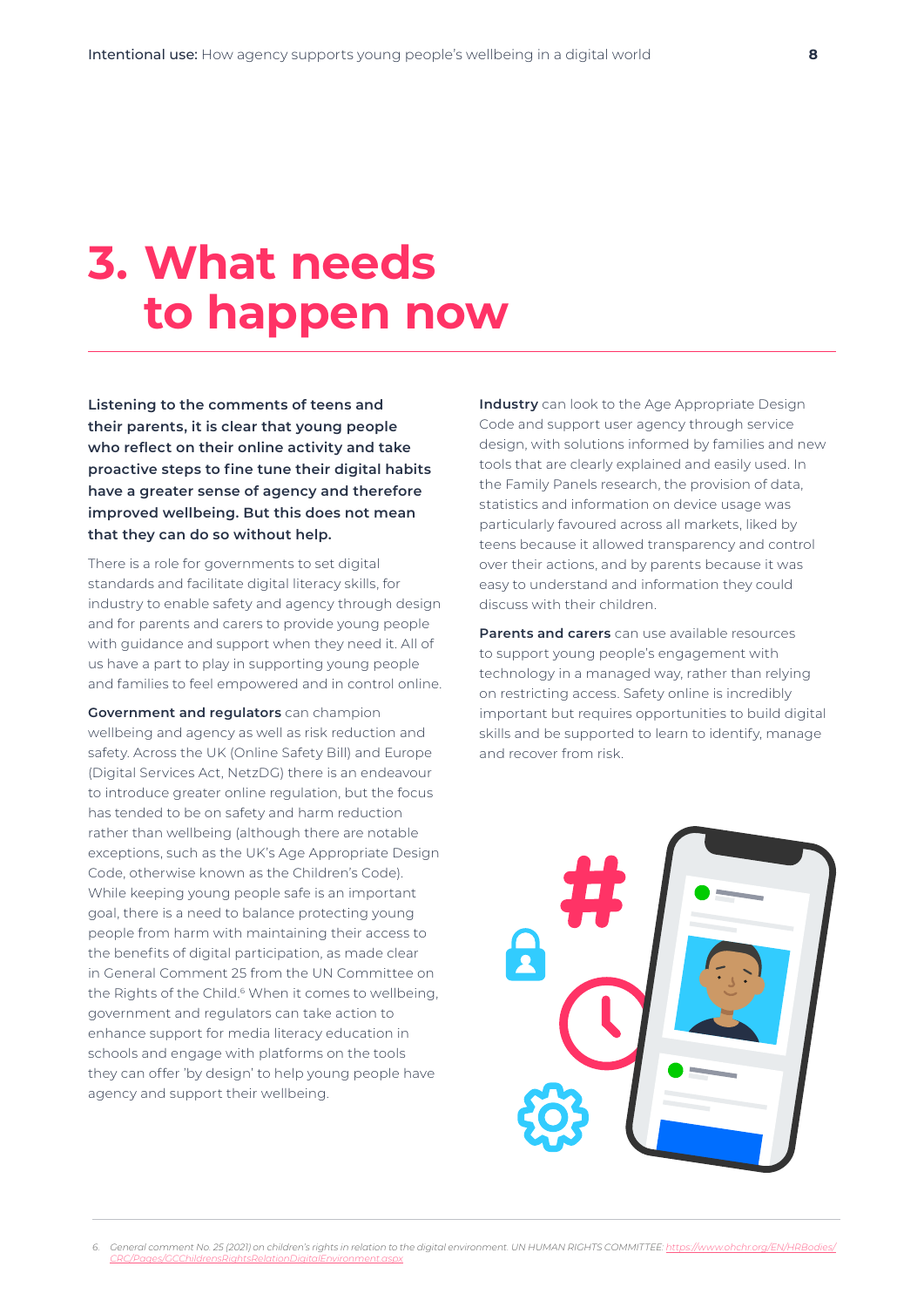## **3. What needs to happen now**

**Listening to the comments of teens and their parents, it is clear that young people who reflect on their online activity and take proactive steps to fine tune their digital habits have a greater sense of agency and therefore improved wellbeing. But this does not mean that they can do so without help.** 

There is a role for governments to set digital standards and facilitate digital literacy skills, for industry to enable safety and agency through design and for parents and carers to provide young people with guidance and support when they need it. All of us have a part to play in supporting young people and families to feel empowered and in control online.

**Government and regulators** can champion wellbeing and agency as well as risk reduction and safety. Across the UK (Online Safety Bill) and Europe (Digital Services Act, NetzDG) there is an endeavour to introduce greater online regulation, but the focus has tended to be on safety and harm reduction rather than wellbeing (although there are notable exceptions, such as the UK's Age Appropriate Design Code, otherwise known as the Children's Code). While keeping young people safe is an important goal, there is a need to balance protecting young people from harm with maintaining their access to the benefits of digital participation, as made clear in General Comment 25 from the UN Committee on the Rights of the Child.<sup>6</sup> When it comes to wellbeing, government and regulators can take action to enhance support for media literacy education in schools and engage with platforms on the tools they can offer 'by design' to help young people have agency and support their wellbeing.

**Industry** can look to the Age Appropriate Design Code and support user agency through service design, with solutions informed by families and new tools that are clearly explained and easily used. In the Family Panels research, the provision of data, statistics and information on device usage was particularly favoured across all markets, liked by teens because it allowed transparency and control over their actions, and by parents because it was easy to understand and information they could discuss with their children.

**Parents and carers** can use available resources to support young people's engagement with technology in a managed way, rather than relying on restricting access. Safety online is incredibly important but requires opportunities to build digital skills and be supported to learn to identify, manage and recover from risk.



*<sup>6.</sup> General comment No. 25 (2021) on children's rights in relation to the digital environment. UN HUMAN RIGHTS COMMITTEE: [https://www.ohchr.org/EN/HRBodies/](https://www.ohchr.org/EN/HRBodies/CRC/Pages/GCChildrensRightsRelationDigitalEnvironment.aspx) [CRC/Pages/GCChildrensRightsRelationDigitalEnvironment.aspx](https://www.ohchr.org/EN/HRBodies/CRC/Pages/GCChildrensRightsRelationDigitalEnvironment.aspx)*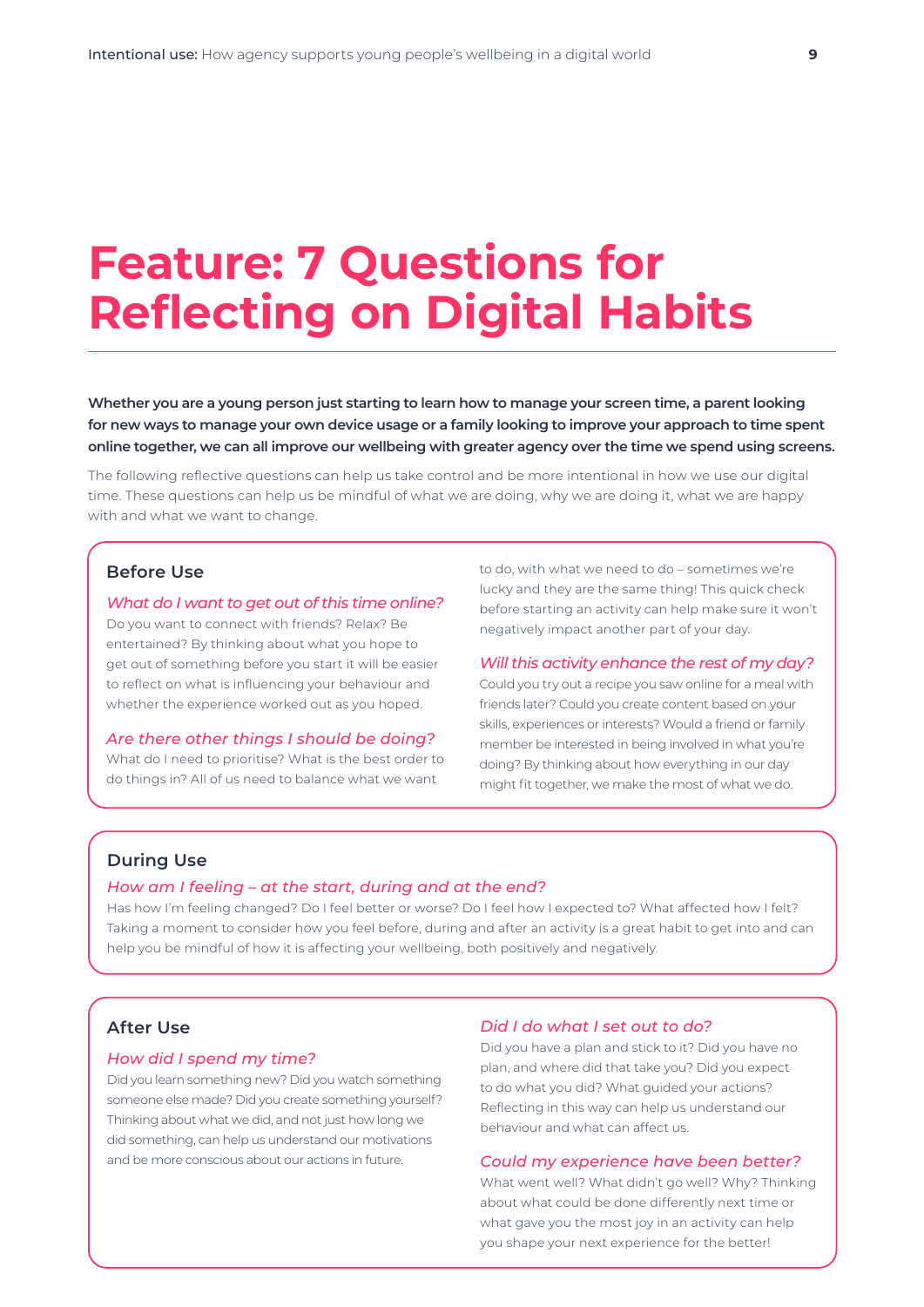### **Feature: 7 Questions for Reflecting on Digital Habits**

**Whether you are a young person just starting to learn how to manage your screen time, a parent looking for new ways to manage your own device usage or a family looking to improve your approach to time spent online together, we can all improve our wellbeing with greater agency over the time we spend using screens.**

The following reflective questions can help us take control and be more intentional in how we use our digital time. These questions can help us be mindful of what we are doing, why we are doing it, what we are happy with and what we want to change.

#### **Before Use**

*What do I want to get out of this time online?*

Do you want to connect with friends? Relax? Be entertained? By thinking about what you hope to get out of something before you start it will be easier to reflect on what is influencing your behaviour and whether the experience worked out as you hoped.

#### *Are there other things I should be doing?*

What do I need to prioritise? What is the best order to do things in? All of us need to balance what we want

to do, with what we need to do – sometimes we're lucky and they are the same thing! This quick check before starting an activity can help make sure it won't negatively impact another part of your day.

#### *Will this activity enhance the rest of my day?*

Could you try out a recipe you saw online for a meal with friends later? Could you create content based on your skills, experiences or interests? Would a friend or family member be interested in being involved in what you're doing? By thinking about how everything in our day might fit together, we make the most of what we do.

#### **During Use**

#### *How am I feeling – at the start, during and at the end?*

Has how I'm feeling changed? Do I feel better or worse? Do I feel how I expected to? What affected how I felt? Taking a moment to consider how you feel before, during and after an activity is a great habit to get into and can help you be mindful of how it is affecting your wellbeing, both positively and negatively.

#### **After Use**

#### *How did I spend my time?*

Did you learn something new? Did you watch something someone else made? Did you create something yourself? Thinking about what we did, and not just how long we did something, can help us understand our motivations and be more conscious about our actions in future.

#### *Did I do what I set out to do?*

Did you have a plan and stick to it? Did you have no plan, and where did that take you? Did you expect to do what you did? What guided your actions? Reflecting in this way can help us understand our behaviour and what can affect us.

#### *Could my experience have been better?*

What went well? What didn't go well? Why? Thinking about what could be done differently next time or what gave you the most joy in an activity can help you shape your next experience for the better!